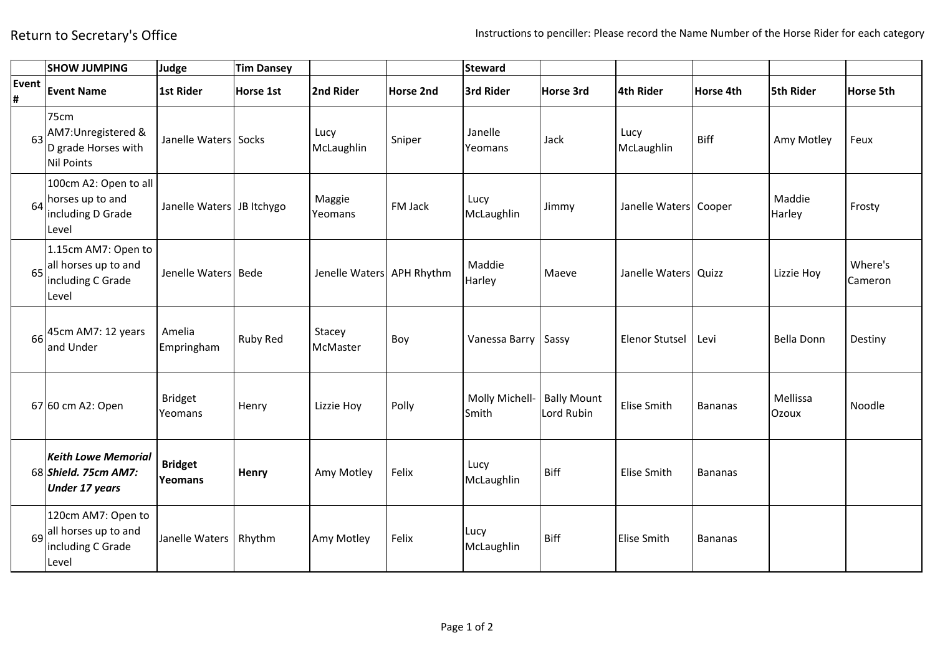|                     | <b>SHOW JUMPING</b>                                                           | Judge                     | <b>Tim Dansey</b> |                           |           | <b>Steward</b>          |                                  |                       |                |                   |                    |
|---------------------|-------------------------------------------------------------------------------|---------------------------|-------------------|---------------------------|-----------|-------------------------|----------------------------------|-----------------------|----------------|-------------------|--------------------|
| Event<br>$\pmb{\#}$ | <b>Event Name</b>                                                             | 1st Rider                 | Horse 1st         | 2nd Rider                 | Horse 2nd | 3rd Rider               | Horse 3rd                        | 4th Rider             | Horse 4th      | <b>5th Rider</b>  | Horse 5th          |
|                     | 75cm<br>63 AM7: Unregistered &<br>D grade Horses with<br>Nil Points           | Janelle Waters Socks      |                   | Lucy<br>McLaughlin        | Sniper    | Janelle<br>Yeomans      | Jack                             | Lucy<br>McLaughlin    | <b>Biff</b>    | Amy Motley        | Feux               |
|                     | 100cm A2: Open to all<br>$64$ horses up to and<br>including D Grade<br>Level  | Janelle Waters JB Itchygo |                   | Maggie<br>Yeomans         | FM Jack   | Lucy<br>McLaughlin      | Jimmy                            | Janelle Waters Cooper |                | Maddie<br>Harley  | Frosty             |
| 65                  | 1.15cm AM7: Open to<br>all horses up to and<br>including C Grade<br>Level     | Jenelle Waters Bede       |                   | Jenelle Waters APH Rhythm |           | Maddie<br>Harley        | Maeve                            | Janelle Waters Quizz  |                | Lizzie Hoy        | Where's<br>Cameron |
| 66                  | 45cm AM7: 12 years<br>and Under                                               | Amelia<br>Empringham      | Ruby Red          | Stacey<br>McMaster        | Boy       | Vanessa Barry           | Sassy                            | <b>Elenor Stutsel</b> | Levi           | <b>Bella Donn</b> | Destiny            |
|                     | 67 60 cm A2: Open                                                             | <b>Bridget</b><br>Yeomans | Henry             | Lizzie Hoy                | Polly     | Molly Michell-<br>Smith | <b>Bally Mount</b><br>Lord Rubin | Elise Smith           | <b>Bananas</b> | Mellissa<br>Ozoux | Noodle             |
|                     | <b>Keith Lowe Memorial</b><br>68 Shield. 75cm AM7:<br><b>Under 17 years</b>   | <b>Bridget</b><br>Yeomans | Henry             | Amy Motley                | Felix     | Lucy<br>McLaughlin      | <b>Biff</b>                      | <b>Elise Smith</b>    | <b>Bananas</b> |                   |                    |
|                     | 120cm AM7: Open to<br>$69$ all horses up to and<br>including C Grade<br>Level | Janelle Waters            | Rhythm            | Amy Motley                | Felix     | Lucy<br>McLaughlin      | <b>Biff</b>                      | <b>Elise Smith</b>    | <b>Bananas</b> |                   |                    |